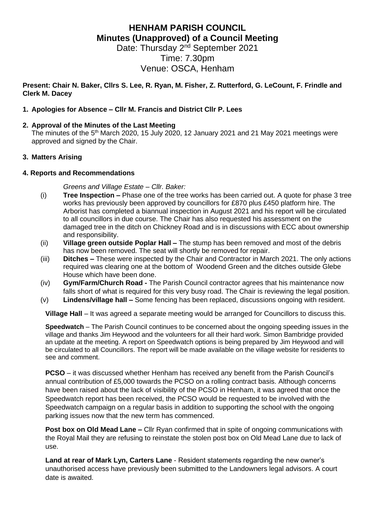# **HENHAM PARISH COUNCIL Minutes (Unapproved) of a Council Meeting**

Date: Thursday 2<sup>nd</sup> September 2021 Time: 7.30pm Venue: OSCA, Henham

**Present: Chair N. Baker, Cllrs S. Lee, R. Ryan, M. Fisher, Z. Rutterford, G. LeCount, F. Frindle and Clerk M. Dacey**

# **1. Apologies for Absence – Cllr M. Francis and District Cllr P. Lees**

# **2. Approval of the Minutes of the Last Meeting**

The minutes of the  $5<sup>th</sup>$  March 2020, 15 July 2020, 12 January 2021 and 21 May 2021 meetings were approved and signed by the Chair.

# **3. Matters Arising**

# **4. Reports and Recommendations**

*Greens and Village Estate – Cllr. Baker:*

- (i) **Tree Inspection –** Phase one of the tree works has been carried out. A quote for phase 3 tree works has previously been approved by councillors for £870 plus £450 platform hire. The Arborist has completed a biannual inspection in August 2021 and his report will be circulated to all councillors in due course. The Chair has also requested his assessment on the damaged tree in the ditch on Chickney Road and is in discussions with ECC about ownership and responsibility.
- (ii) **Village green outside Poplar Hall –** The stump has been removed and most of the debris has now been removed. The seat will shortly be removed for repair.
- (iii) **Ditches –** These were inspected by the Chair and Contractor in March 2021. The only actions required was clearing one at the bottom of Woodend Green and the ditches outside Glebe House which have been done.
- (iv) **Gym/Farm/Church Road -** The Parish Council contractor agrees that his maintenance now falls short of what is required for this very busy road. The Chair is reviewing the legal position.
- (v) **Lindens/village hall –** Some fencing has been replaced, discussions ongoing with resident.

**Village Hall** – It was agreed a separate meeting would be arranged for Councillors to discuss this.

**Speedwatch** – The Parish Council continues to be concerned about the ongoing speeding issues in the village and thanks Jim Heywood and the volunteers for all their hard work. Simon Bambridge provided an update at the meeting. A report on Speedwatch options is being prepared by Jim Heywood and will be circulated to all Councillors. The report will be made available on the village website for residents to see and comment.

**PCSO** – it was discussed whether Henham has received any benefit from the Parish Council's annual contribution of £5,000 towards the PCSO on a rolling contract basis. Although concerns have been raised about the lack of visibility of the PCSO in Henham, it was agreed that once the Speedwatch report has been received, the PCSO would be requested to be involved with the Speedwatch campaign on a regular basis in addition to supporting the school with the ongoing parking issues now that the new term has commenced.

**Post box on Old Mead Lane –** Cllr Ryan confirmed that in spite of ongoing communications with the Royal Mail they are refusing to reinstate the stolen post box on Old Mead Lane due to lack of use.

**Land at rear of Mark Lyn, Carters Lane** - Resident statements regarding the new owner's unauthorised access have previously been submitted to the Landowners legal advisors. A court date is awaited.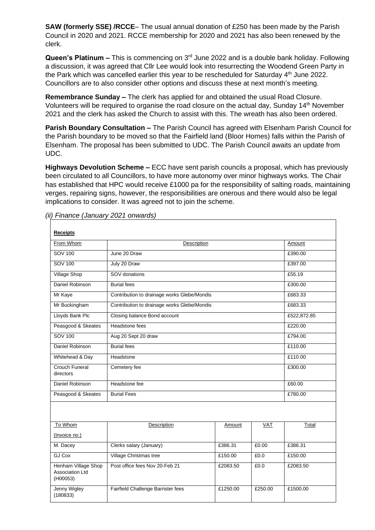**SAW (formerly SSE) /RCCE**– The usual annual donation of £250 has been made by the Parish Council in 2020 and 2021. RCCE membership for 2020 and 2021 has also been renewed by the clerk.

Queen's Platinum – This is commencing on 3<sup>rd</sup> June 2022 and is a double bank holiday. Following a discussion, it was agreed that Cllr Lee would look into resurrecting the Woodend Green Party in the Park which was cancelled earlier this year to be rescheduled for Saturday  $4<sup>th</sup>$  June 2022. Councillors are to also consider other options and discuss these at next month's meeting.

**Remembrance Sunday –** The clerk has applied for and obtained the usual Road Closure. Volunteers will be required to organise the road closure on the actual day, Sunday 14th November 2021 and the clerk has asked the Church to assist with this. The wreath has also been ordered.

**Parish Boundary Consultation –** The Parish Council has agreed with Elsenham Parish Council for the Parish boundary to be moved so that the Fairfield land (Bloor Homes) falls within the Parish of Elsenham. The proposal has been submitted to UDC. The Parish Council awaits an update from UDC.

**Highways Devolution Scheme –** ECC have sent parish councils a proposal, which has previously been circulated to all Councillors, to have more autonomy over minor highways works. The Chair has established that HPC would receive £1000 pa for the responsibility of salting roads, maintaining verges, repairing signs, however, the responsibilities are onerous and there would also be legal implications to consider. It was agreed not to join the scheme.

| <b>Receipts</b>                                           |                                             |          |            |             |
|-----------------------------------------------------------|---------------------------------------------|----------|------------|-------------|
| From Whom                                                 | Description                                 |          |            | Amount      |
| <b>SOV 100</b>                                            | June 20 Draw                                |          |            | £390.00     |
| <b>SOV 100</b>                                            | July 20 Draw                                |          |            | £397.00     |
| <b>Village Shop</b>                                       | SOV donations                               |          |            | £55.19      |
| Daniel Robinson                                           | <b>Burial fees</b>                          |          |            | £300.00     |
| Mr Kaye                                                   | Contribution to drainage works Glebe/Mondis |          |            | £683.33     |
| Mr Buckingham                                             | Contribution to drainage works Glebe/Mondis |          |            | £683.33     |
| Lloyds Bank Plc                                           | Closing balance Bond account                |          |            | £522,872.85 |
| Peasgood & Skeates                                        | Headstone fees                              |          |            | £220.00     |
| SOV 100                                                   | Aug 20 Sept 20 draw                         |          |            | £794.00     |
| Daniel Robinson                                           | <b>Burial fees</b>                          |          |            | £110.00     |
| Whitehead & Day                                           | Headstone                                   |          |            | £110.00     |
| <b>Crouch Funeral</b><br>directors                        | Cemetery fee                                |          |            | £300.00     |
| Daniel Robinson                                           | Headstone fee                               |          |            | £60.00      |
| Peasgood & Skeates                                        | <b>Burial Fees</b>                          |          |            | £780.00     |
|                                                           |                                             |          |            |             |
| To Whom                                                   | Description                                 | Amount   | <b>VAT</b> | Total       |
| (Invoice no.)                                             |                                             |          |            |             |
| M. Dacey                                                  | Clerks salary (January)                     | £386.31  | £0.00      | £386.31     |
| <b>GJ Cox</b>                                             | Village Christmas tree                      | £150.00  | E0.0       | £150.00     |
| Henham Village Shop<br><b>Association Ltd</b><br>(H00053) | Post office fees Nov 20-Feb 21              | £2083.50 | £0.0       | £2083.50    |
| Jenny Wigley<br>(180833)                                  | Fairfield Challenge Barrister fees          | £1250.00 | £250.00    | £1500.00    |

*(ii) Finance (January 2021 onwards)*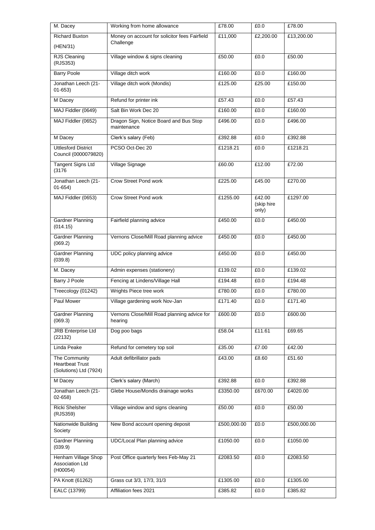| M. Dacey                                                          | Working from home allowance                            | £78.00      | £0.0                          | £78.00      |
|-------------------------------------------------------------------|--------------------------------------------------------|-------------|-------------------------------|-------------|
| <b>Richard Buxton</b>                                             | Money on account for solicitor fees Fairfield          | £11,000     | £2,200.00                     | £13,200.00  |
| (HEN/31)                                                          | Challenge                                              |             |                               |             |
| RJS Cleaning<br>(RJS353)                                          | Village window & signs cleaning                        | £50.00      | £0.0                          | £50.00      |
| <b>Barry Poole</b>                                                | Village ditch work                                     | £160.00     | £0.0                          | £160.00     |
| Jonathan Leech (21-<br>$01 - 653$                                 | Village ditch work (Mondis)                            | £125.00     | £25.00                        | £150.00     |
| M Dacey                                                           | Refund for printer ink                                 | £57.43      | £0.0                          | £57.43      |
| MAJ Fiddler (0649)                                                | Salt Bin Work Dec 20                                   | £160.00     | £0.0                          | £160.00     |
| MAJ Fiddler (0652)                                                | Dragon Sign, Notice Board and Bus Stop<br>maintenance  | £496.00     | £0.0                          | £496.00     |
| M Dacey                                                           | Clerk's salary (Feb)                                   | £392.88     | £0.0                          | £392.88     |
| <b>Uttlesford District</b><br>Council (0000079820)                | PCSO Oct-Dec 20                                        | £1218.21    | £0.0                          | £1218.21    |
| <b>Tangent Signs Ltd</b><br>(3176)                                | Village Signage                                        | £60.00      | £12.00                        | £72.00      |
| Jonathan Leech (21-<br>$01 - 654$                                 | <b>Crow Street Pond work</b>                           | £225.00     | £45.00                        | £270.00     |
| MAJ Fiddler (0653)                                                | Crow Street Pond work                                  | £1255.00    | £42.00<br>(skip hire<br>only) | £1297.00    |
| <b>Gardner Planning</b><br>(014.15)                               | Fairfield planning advice                              | £450.00     | £0.0                          | £450.00     |
| <b>Gardner Planning</b><br>(069.2)                                | Vernons Close/Mill Road planning advice                | £450.00     | £0.0                          | £450.00     |
| <b>Gardner Planning</b><br>(039.8)                                | UDC policy planning advice                             | £450.00     | £0.0                          | £450.00     |
| M. Dacey                                                          | Admin expenses (stationery)                            | £139.02     | £0.0                          | £139.02     |
| Barry J Poole                                                     | Fencing at Lindens/Village Hall                        | £194.48     | £0.0                          | £194.48     |
| Treecology (01242)                                                | Wrights Piece tree work                                | £780.00     | £0.0                          | £780.00     |
| Paul Mower                                                        | Village gardening work Nov-Jan                         | £171.40     | £0.0                          | £171.40     |
| Gardner Planning<br>(069.3)                                       | Vernons Close/Mill Road planning advice for<br>hearing | £600.00     | £0.0                          | £600.00     |
| <b>JRB</b> Enterprise Ltd<br>(22132)                              | Dog poo bags                                           | £58.04      | £11.61                        | £69.65      |
| Linda Peake                                                       | Refund for cemetery top soil                           | £35.00      | £7.00                         | £42.00      |
| The Community<br><b>Heartbeat Trust</b><br>(Solutions) Ltd (7924) | Adult defibrillator pads                               | £43.00      | £8.60                         | £51.60      |
| M Dacey                                                           | Clerk's salary (March)                                 | £392.88     | £0.0                          | £392.88     |
| Jonathan Leech (21-<br>02-658)                                    | Glebe House/Mondis drainage works                      | £3350.00    | £670.00                       | £4020.00    |
| Ricki Shelsher<br>(RJS359)                                        | Village window and signs cleaning                      | £50.00      | £0.0                          | £50.00      |
| Nationwide Building<br>Society                                    | New Bond account opening deposit                       | £500,000.00 | £0.0                          | £500,000.00 |
| <b>Gardner Planning</b><br>(039.9)                                | UDC/Local Plan planning advice                         | £1050.00    | £0.0                          | £1050.00    |
| Henham Village Shop<br><b>Association Ltd</b><br>(H00054)         | Post Office quarterly fees Feb-May 21                  | £2083.50    | £0.0                          | £2083.50    |
| PA Knott (61262)                                                  | Grass cut 3/3, 17/3, 31/3                              | £1305.00    | £0.0                          | £1305.00    |
| EALC (13799)                                                      | Affiliation fees 2021                                  | £385.82     | £0.0                          | £385.82     |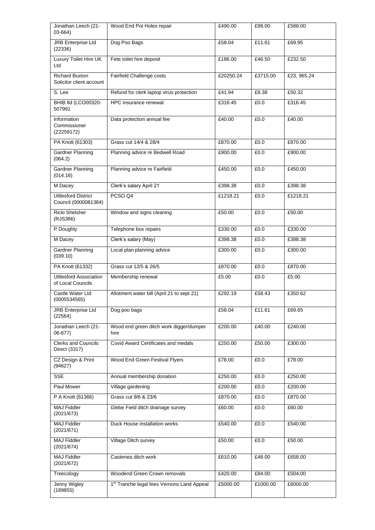| Jonathan Leech (21-<br>03-664)                     | Wood End Pot Holes repair                              | £490.00   | £98.00   | £588.00     |
|----------------------------------------------------|--------------------------------------------------------|-----------|----------|-------------|
| <b>JRB</b> Enterprise Ltd<br>(22336)               | Dog Poo Bags                                           | £58.04    | £11.61   | £69.95      |
| Luxury Toilet Hire UK<br>Ltd                       | Fete toilet hire deposit                               | £186.00   | £46.50   | £232.50     |
| <b>Richard Buxton</b><br>Solicitor client account  | Fairfield Challenge costs                              | £20250.24 | £3715.00 | £23, 965.24 |
| S. Lee                                             | Refund for clerk laptop virus protection               | £41.94    | £8.38    | £50.32      |
| BHIB ltd (LCO00320-<br>507991                      | HPC insurance renewal                                  | £316.45   | £0.0     | £316.45     |
| Information<br>Commissioner<br>(Z2259172)          | Data protection annual fee                             | £40.00    | £0.0     | £40.00      |
| PA Knott (61303)                                   | Grass cut 14/4 & 28/4                                  | £870.00   | £0.0     | £870.00     |
| Gardner Planning<br>(064.2)                        | Planning advice re Bedwell Road                        | £900.00   | £0.0     | £900.00     |
| <b>Gardner Planning</b><br>(014.16)                | Planning advice re Fairfield                           | £450.00   | £0.0     | £450.00     |
| M Dacey                                            | Clerk's salary April 21                                | £398.38   | £0.0     | £398.38     |
| <b>Uttlesford District</b><br>Council (0000081384) | PCSO Q4                                                | £1218.21  | £0.0     | £1218.21    |
| <b>Ricki Shelsher</b><br>(RJS366)                  | Window and signs cleaning                              | £50.00    | £0.0     | £50.00      |
| P Doughty                                          | Telephone box repairs                                  | £330.00   | £0.0     | £330.00     |
| M Dacey                                            | Clerk's salary (May)                                   | £398.38   | E0.0     | £398.38     |
| <b>Gardner Planning</b><br>(039.10)                | Local plan planning advice                             | £300.00   | £0.0     | £300.00     |
| PA Knott (61332)                                   | Grass cut 12/5 & 26/5                                  | £870.00   | £0.0     | £870.00     |
| <b>Uttlesford Association</b><br>of Local Councils | Membership renewal                                     | £5.00     | £0.0     | £5.00       |
| Castle Water Ltd<br>(0005534565)                   | Allotment water bill (April 21 to sept 21)             | £292.19   | £58.43   | £350.62     |
| <b>JRB Enterprise Ltd</b><br>(22564)               | Dog poo bags                                           | £58.04    | £11.61   | £69.65      |
| Jonathan Leech (21-<br>$06 - 677$                  | Wood end green ditch work digger/dumper<br>hire        | £200.00   | £40.00   | £240.00     |
| <b>Clerks and Councils</b><br>Direct (3317)        | Covid Award Certificates and medals                    | £250.00   | £50.00   | £300.00     |
| CZ Design & Print<br>(94627)                       | Wood End Green Festival Flyers                         | £78.00    | £0.0     | £78.00      |
| <b>SSE</b>                                         | Annual membership donation                             | £250.00   | £0.0     | £250.00     |
| <b>Paul Mower</b>                                  | Village gardening                                      | £200.00   | £0.0     | £200.00     |
| P A Knott (61366)                                  | Grass cut 9/6 & 23/6                                   | £870.00   | £0.0     | £870.00     |
| <b>MAJ Fiddler</b><br>(2021/673)                   | Glebe Field ditch drainage survey                      | £60.00    | £0.0     | £60.00      |
| <b>MAJ Fiddler</b><br>(2021/671)                   | Duck House installation works                          | £540.00   | £0.0     | £540.00     |
| <b>MAJ Fiddler</b><br>(2021/674)                   | Village Ditch survey                                   | £50.00    | E0.0     | £50.00      |
| <b>MAJ Fiddler</b><br>(2021/672)                   | Castenea ditch work                                    | £610.00   | £48.00   | £658.00     |
| Treecology                                         | Woodend Green Crown removals                           | £420.00   | £84.00   | £504.00     |
| <b>Jenny Wigley</b><br>(189855)                    | 1 <sup>st</sup> Tranche legal fees Vernons Land Appeal | £5000.00  | £1000.00 | £6000.00    |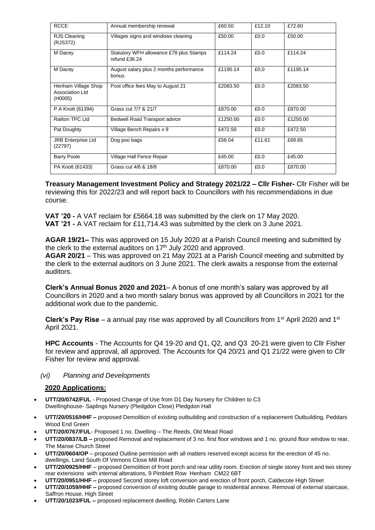| <b>RCCE</b>                                       | Annual membership renewal                                | £60.50   | £12.10 | £72.60   |
|---------------------------------------------------|----------------------------------------------------------|----------|--------|----------|
| RJS Cleaning<br>(RJS372)                          | Villages signs and windows cleaning                      | £50.00   | £0.0   | £50.00   |
| M Dacey                                           | Statutory WFH allowance £78 plus Stamps<br>refund £36.24 | £114.24  | £0.0   | £114.24  |
| M Dacey                                           | August salary plus 2 months performance<br>bonus         | £1195.14 | £0,0   | £1195.14 |
| Henham Village Shop<br>Association Ltd<br>(H0005) | Post office fees May to August 21                        | £2083.50 | £0.0   | £2083.50 |
| P A Knott (61394)                                 | Grass cut 7/7 & 21/7                                     | £870.00  | £0.0   | £870.00  |
| Railton TPC Ltd                                   | Bedwell Road Transport advice                            | £1250.00 | £0.0   | £1250.00 |
| Pat Doughty                                       | Village Bench Repairs x 9                                | £472.50  | £0.0   | £472.50  |
| <b>JRB Enterprise Ltd</b><br>(22797)              | Dog poo bags                                             | £58.04   | £11.61 | £69.65   |
| <b>Barry Poole</b>                                | Village Hall Fence Repair                                | £45.00   | £0.0   | £45.00   |
| PA Knott (61433)                                  | Grass cut 4/8 & 18/8                                     | £870.00  | £0.0   | £870.00  |

**Treasury Management Investment Policy and Strategy 2021/22 – Cllr Fisher-** Cllr Fisher will be reviewing this for 2022/23 and will report back to Councillors with his recommendations in due course.

**VAT '20 -** A VAT reclaim for £5664.18 was submitted by the clerk on 17 May 2020. **VAT '21 -** A VAT reclaim for £11,714.43 was submitted by the clerk on 3 June 2021.

**AGAR 19/21–** This was approved on 15 July 2020 at a Parish Council meeting and submitted by the clerk to the external auditors on  $17<sup>th</sup>$  July 2020 and approved. **AGAR 20/21** – This was approved on 21 May 2021 at a Parish Council meeting and submitted by the clerk to the external auditors on 3 June 2021. The clerk awaits a response from the external auditors.

**Clerk's Annual Bonus 2020 and 2021**– A bonus of one month's salary was approved by all Councillors in 2020 and a two month salary bonus was approved by all Councillors in 2021 for the additional work due to the pandemic.

Clerk's Pay Rise – a annual pay rise was approved by all Councillors from 1<sup>st</sup> April 2020 and 1<sup>st</sup> April 2021.

**HPC Accounts** - The Accounts for Q4 19-20 and Q1, Q2, and Q3 20-21 were given to Cllr Fisher for review and approval, all approved. The Accounts for Q4 20/21 and Q1 21/22 were given to Cllr Fisher for review and approval.

### *(vi) Planning and Developments*

# **2020 Applications:**

- **UTT/20/0742/FUL** Proposed Change of Use from D1 Day Nursery for Children to C3 Dwellinghouse- Saplings Nursery (Pledgdon Close) Pledgdon Hall
- **UTT/20/0516/HHF –** proposed Demolition of existing outbuilding and construction of a replacement Outbuilding, Peddars Wood End Green
- **UTT/20/0767/FUL** Proposed 1 no. Dwelling The Reeds, Old Mead Road
- **UTT/20/0837/LB –** proposed Removal and replacement of 3 no. first floor windows and 1 no. ground floor window to rear, The Manse Church Street
- **UTT/20/0604/OP** proposed Outline permission with all matters reserved except access for the erection of 45 no. dwellings, Land South Of Vernons Close Mill Road
- **UTT/20/0925/HHF** proposed Demolition of front porch and rear utility room. Erection of single storey front and two storey rear extensions with internal alterations, 9 Pimblett Row Henham CM22 6BT
- **UTT/20/0951/HHF –** proposed Second storey loft conversion and erection of front porch, Caldecote High Street
- **UTT/20/1059/HHF –** proposed conversion of existing double garage to residential annexe. Removal of external staircase, Saffron House, High Street
- **UTT/20/1023/FUL –** proposed replacement dwelling, Roblin Carters Lane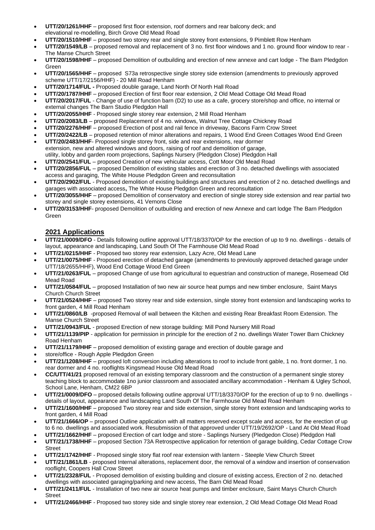- **UTT/20/1261/HHF** proposed first floor extension, roof dormers and rear balcony deck; and elevational re-modelling, Birch Grove Old Mead Road
- **UTT/20/1510/HHF** proposed two storey rear and single storey front extensions, 9 Pimblett Row Henham
- **UTT/20/1549/LB** proposed removal and replacement of 3 no. first floor windows and 1 no. ground floor window to rear The Manse Church Street
- **UTT/20/1598/HHF** proposed Demolition of outbuilding and erection of new annexe and cart lodge The Barn Pledgdon Green
- **UTT/20/1565/HHF** proposed S73a retrospective single storey side extension (amendments to previously approved scheme UTT/17/2156/HHF) - 20 Mill Road Henham
- **UTT/20/1714/FUL -** Proposed double garage, Land North Of North Hall Road
- **UTT/20/1787/HHF** proposed Erection of first floor rear extension, 2 Old Mead Cottage Old Mead Road
- **UTT/20/2017/FUL** Change of use of function barn (D2) to use as a cafe, grocery store/shop and office, no internal or external changes The Barn Studio Pledgdon Hall
- **UTT/20/2055/HHF** Proposed single storey rear extension, 2 Mill Road Henham
- **UTT/20/2083/LB** proposed Replacement of 4 no. windows, Walnut Tree Cottage Chickney Road
- **UTT/20/2276/HHF** proposed Erection of post and rail fence in driveway, Bacons Farm Crow Street
- **UTT/20/2422/LB** proposed retention of minor alterations and repairs, 1 Wood End Green Cottages Wood End Green
- **UTT/20/2483/HHF** Proposed single storey front, side and rear extensions, rear dormer extension, new and altered windows and doors, raising of roof and demolition of garage, utility, lobby and garden room projections, Saplings Nursery (Pledgdon Close) Pledgdon Hall
- **UTT/20/2541/FUL** proposed Creation of new vehicular access, Cott Moor Old Mead Road
- **UTT/20/2856/FUL** proposed Demolition of existing stables and erection of 3 no. detached dwellings with associated access and garaging, The White House Pledgdon Green and reconsultation
- **UTT/20/2902/FUL** Proposed demolition of existing buildings and structures and erection of 2 no. detached dwellings and garages with associated access**,** The White House Pledgdon Green and reconsultation
- **UTT/20/3055/HHF** proposed Demolition of conservatory and erection of single storey side extension and rear partial two storey and single storey extensions, 41 Vernons Close
- **UTT/20/3153/HHF** proposed Demolition of outbuilding and erection of new Annexe and cart lodge The Barn Pledgdon Green

# **2021 Applications**

- **UTT/21/0009/DFO** Details following outline approval UTT/18/3370/OP for the erection of up to 9 no. dwellings details of layout, appearance and landscaping, Land South Of The Farmhouse Old Mead Road
- **UTT/21/0215/HHF** Proposed two storey rear extension, Lazy Acre, Old Mead Lane
- **UTT/21/0075/HHF** Proposed erection of detached garage (amendments to previously approved detached garage under UTT/18/2655/HHF), Wood End Cottage Wood End Green
- **UTT/21/0263/FUL** proposed Change of use from agricultural to equestrian and construction of manege, Rosemead Old Mead Road
- **UTT/21/0584/FUL** proposed Installation of two new air source heat pumps and new timber enclosure, Saint Marys Church Church Street
- **UTT/21/0524/HHF** proposed Two storey rear and side extension, single storey front extension and landscaping works to front garden, 4 Mill Road Henham
- **UTT/21/0860/LB** -proposed Removal of wall between the Kitchen and existing Rear Breakfast Room Extension. The Manse Church Street
- **UTT/21/0943/FUL** proposed Erection of new storage building: Mill Pond Nursery Mill Road
- **UTT/21/1139/PIP** application for permission in principle for the erection of 2 no. dwellings Water Tower Barn Chickney Road Henham
- **UTT/21/1179/HHF** proposed demolition of existing garage and erection of double garage and
- store/office Rough Apple Pledgdon Green
- **UTT/21/1208/HHF** proposed loft conversion including alterations to roof to include front gable, 1 no. front dormer, 1 no. rear dormer and 4 no. rooflights Kingsmead House Old Mead Road
- **CC/UTT/41/21** proposed removal of an existing temporary classroom and the construction of a permanent single storey teaching block to accommodate 1no junior classroom and associated ancillary accommodation - Henham & Ugley School, School Lane, Henham, CM22 6BP
- **UTT/21/0009/DFO** proposed details following outline approval UTT/18/3370/OP for the erection of up to 9 no. dwellings details of layout, appearance and landscaping Land South Of The Farmhouse Old Mead Road Henham
- **UTT/21/1600/HHF** proposed Two storey rear and side extension, single storey front extension and landscaping works to front garden, 4 Mill Road
- **UTT/21/1666/OP** proposed Outline application with all matters reserved except scale and access, for the erection of up to 6 no. dwellings and associated work. Resubmission of that approved under UTT/19/2692/OP - Land At Old Mead Road
- **UTT/21/1662/HHF** proposed Erection of cart lodge and store Saplings Nursery (Pledgedon Close) Pledgdon Hall
- **UTT/21/1738/HHF** proposed Section 73A Retrospective application for retention of garage building, Cedar Cottage Crow Street
- **UTT/21/1742/HHF** Proposed single story flat roof rear extension with lantern Steeple View Church Street
- **UTT/21/1861/LB** proposed Internal alterations, replacement door, the removal of a window and insertion of conservation rooflight, Coopers Hall Crow Street
- **UTT/21/2328/FUL** Proposed demolition of existing building and closure of existing access, Erection of 2 no. detached dwellings with associated garaging/parking and new access, The Barn Old Mead Road
- **UTT/21/2411/FUL** Installation of two new air source heat pumps and timber enclosure, Saint Marys Church Church **Street**
- **UTT/21/2466/HHF** Proposed two storey side and single storey rear extension, 2 Old Mead Cottage Old Mead Road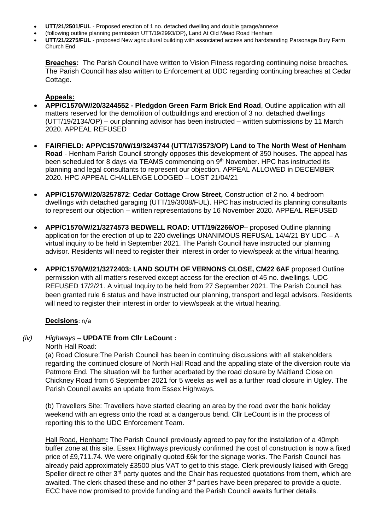- **UTT/21/2501/FUL** Proposed erection of 1 no. detached dwelling and double garage/annexe
- (following outline planning permission UTT/19/2993/OP), Land At Old Mead Road Henham
- **UTT/21/2275/FUL** proposed New agricultural building with associated access and hardstanding Parsonage Bury Farm Church End

**Breaches:** The Parish Council have written to Vision Fitness regarding continuing noise breaches. The Parish Council has also written to Enforcement at UDC regarding continuing breaches at Cedar Cottage.

# **Appeals:**

- **APP/C1570/W/20/3244552 - Pledgdon Green Farm Brick End Road**, Outline application with all matters reserved for the demolition of outbuildings and erection of 3 no. detached dwellings (UTT/19/2134/OP) – our planning advisor has been instructed – written submissions by 11 March 2020. APPEAL REFUSED
- **FAIRFIELD: APP/C1570/W/19/3243744 (UTT/17/3573/OP) Land to The North West of Henham Road** - Henham Parish Council strongly opposes this development of 350 houses. The appeal has been scheduled for 8 days via TEAMS commencing on 9<sup>th</sup> November. HPC has instructed its planning and legal consultants to represent our objection. APPEAL ALLOWED in DECEMBER 2020. HPC APPEAL CHALLENGE LODGED – LOST 21/04/21
- **APP/C1570/W/20/3257872**: **Cedar Cottage Crow Street,** Construction of 2 no. 4 bedroom dwellings with detached garaging (UTT/19/3008/FUL). HPC has instructed its planning consultants to represent our objection – written representations by 16 November 2020. APPEAL REFUSED
- **APP/C1570/W/21/3274573 BEDWELL ROAD: UTT/19/2266/OP** proposed Outline planning application for the erection of up to 220 dwellings UNANIMOUS REFUSAL 14/4/21 BY UDC – A virtual inquiry to be held in September 2021. The Parish Council have instructed our planning advisor. Residents will need to register their interest in order to view/speak at the virtual hearing.
- **APP/C1570/W/21/3272403: LAND SOUTH OF VERNONS CLOSE, CM22 6AF** proposed Outline permission with all matters reserved except access for the erection of 45 no. dwellings. UDC REFUSED 17/2/21. A virtual Inquiry to be held from 27 September 2021. The Parish Council has been granted rule 6 status and have instructed our planning, transport and legal advisors. Residents will need to register their interest in order to view/speak at the virtual hearing.

#### **Decisions**: n/a

# *(iv) Highways –* **UPDATE from Cllr LeCount :**

North Hall Road:

(a) Road Closure:The Parish Council has been in continuing discussions with all stakeholders regarding the continued closure of North Hall Road and the appalling state of the diversion route via Patmore End. The situation will be further acerbated by the road closure by Maitland Close on Chickney Road from 6 September 2021 for 5 weeks as well as a further road closure in Ugley. The Parish Council awaits an update from Essex Highways.

(b) Travellers Site: Travellers have started clearing an area by the road over the bank holiday weekend with an egress onto the road at a dangerous bend. Cllr LeCount is in the process of reporting this to the UDC Enforcement Team.

Hall Road, Henham**:** The Parish Council previously agreed to pay for the installation of a 40mph buffer zone at this site. Essex Highways previously confirmed the cost of construction is now a fixed price of £9,711.74. We were originally quoted £6k for the signage works. The Parish Council has already paid approximately £3500 plus VAT to get to this stage. Clerk previously liaised with Gregg Speller direct re other 3<sup>rd</sup> party quotes and the Chair has requested quotations from them, which are awaited. The clerk chased these and no other  $3<sup>rd</sup>$  parties have been prepared to provide a quote. ECC have now promised to provide funding and the Parish Council awaits further details.